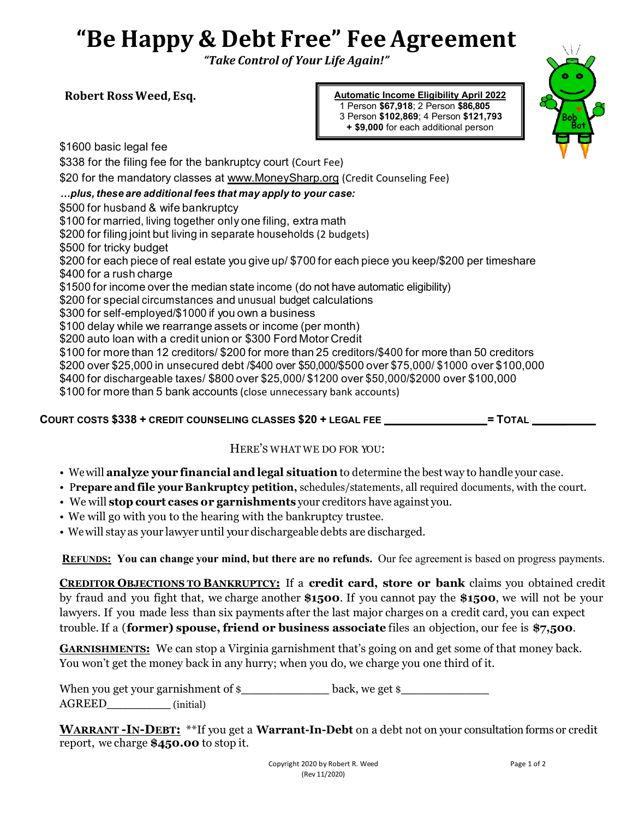## **"Be Happy & Debt Free" Fee Agreement**

*"Take Control of Your Life Again!"*

**Robert Ross Weed, Esq.** 

**Automatic Income Eligibility April 2022** 





\$1600 basic legal fee \$338 for the filing fee for the bankruptcy court (Court Fee) \$20 for the mandatory classes at www.MoneySharp.org (Credit Counseling Fee) *…plus, these are additional fees that may apply to your case:* \$500 for husband & wife bankruptcy \$100 for married, living together only one filing, extra math \$200 for filing joint but living in separate households (2 budgets) \$500 for tricky budget \$200 for each piece of real estate you give up/ \$700 for each piece you keep/\$200 per timeshare \$400 for a rush charge \$1500 for income over the median state income (do not have automatic eligibility) \$200 for special circumstances and unusual budget calculations \$300 for self-employed/\$1000 if you own a business \$100 delay while we rearrange assets or income (per month) \$200 auto loan with a credit union or \$300 Ford Motor Credit \$100 for more than 12 creditors/ \$200 for more than 25 creditors/\$400 for more than 50 creditors \$200 over \$25,000 in unsecured debt /\$400 over \$50,000/\$500 over \$75,000/ \$1000 over \$100,000 \$400 for dischargeable taxes/ \$800 over \$25,000/ \$1200 over \$50,000/\$2000 over \$100,000 \$100 for more than 5 bank accounts (close unnecessary bank accounts)

**COURT COSTS \$338 + CREDIT COUNSELING CLASSES \$20 + LEGAL FEE = TOTAL \_\_\_\_\_** 

## HERE'S WHAT WE DO FOR YOU:

- We will **analyze your financial and legal situation** to determine the best way to handle your case.
- P**repare and file your Bankruptcy petition,** schedules/statements, all required documents, with the court.
- We will **stop court cases or garnishments** your creditors have against you.
- We will go with you to the hearing with the bankruptcy trustee.
- We will stay as your lawyer until your dischargeable debts are discharged.

**REFUNDS: You can change your mind, but there are no refunds.** Our fee agreement is based on progress payments.

**CREDITOR OBJECTIONS TO BANKRUPTCY:** If a **credit card, store or bank** claims you obtained credit by fraud and you fight that, we charge another **\$1500**. If you cannot pay the **\$1500**, we will not be your lawyers. If you made less than six payments after the last major charges on a credit card, you can expect trouble. If a (**former) spouse, friend or business associate** files an objection, our fee is **\$7,500**.

**GARNISHMENTS:** We can stop a Virginia garnishment that's going on and get some of that money back. You won't get the money back in any hurry; when you do, we charge you one third of it.

When you get your garnishment of  $\epsilon$  **back, we get**  $\epsilon$ 

AGREED**\_\_\_\_\_\_\_\_** (initial)

**WARRANT -IN-DEBT:** \*\*If you get a **Warrant-In-Debt** on a debt not on your consultation forms or credit report, we charge **\$450.00** to stop it.